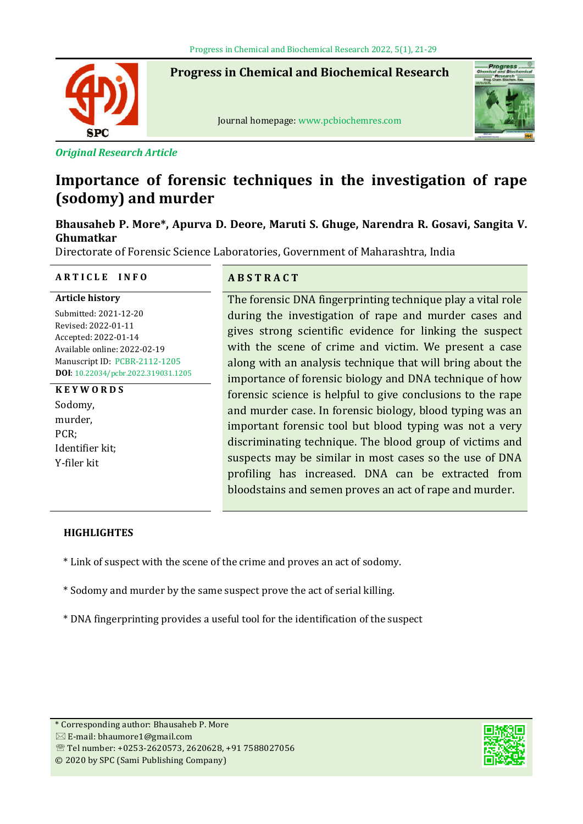**Progress in Chemical and Biochemical Research**



Ī

Journal homepage: www.pcbiochemres.com



*Original Research Article*

# **Importance of forensic techniques in the investigation of rape (sodomy) and murder**

## **Bhausaheb P. More\*, Apurva D. Deore, Maruti S. Ghuge, Narendra R. Gosavi, Sangita V. Ghumatkar**

Directorate of Forensic Science Laboratories, Government of Maharashtra, India

## **A R T I C L E I N F O A B S T R A C T**

**Article history** Submitted: 2021-12-20 Revised: 2022-01-11 Accepted: 2022-01-14 Available online: 2022-02-19 Manuscript ID: PCBR-2112-1205 **DOI**: 10.22034/pcbr.2022.319031.1205

## **K E Y W O R D S**

Sodomy, murder, PCR; Identifier kit; Y-filer kit

The forensic DNA fingerprinting technique play a vital role during the investigation of rape and murder cases and gives strong scientific evidence for linking the suspect with the scene of crime and victim. We present a case along with an analysis technique that will bring about the importance of forensic biology and DNA technique of how forensic science is helpful to give conclusions to the rape and murder case. In forensic biology, blood typing was an important forensic tool but blood typing was not a very discriminating technique. The blood group of victims and suspects may be similar in most cases so the use of DNA profiling has increased. DNA can be extracted from bloodstains and semen proves an act of rape and murder.

## **HIGHLIGHTES**

- \* Link of suspect with the scene of the crime and proves an act of sodomy.
- \* Sodomy and murder by the same suspect prove the act of serial killing.
- \* DNA fingerprinting provides a useful tool for the identification of the suspect

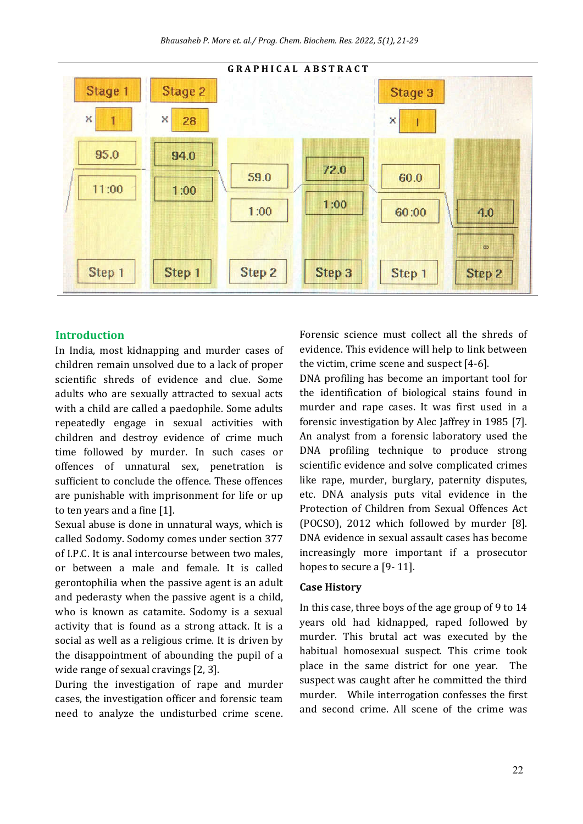

#### **Introduction**

In India, most kidnapping and murder cases of children remain unsolved due to a lack of proper scientific shreds of evidence and clue. Some adults who are sexually attracted to sexual acts with a child are called a paedophile. Some adults repeatedly engage in sexual activities with children and destroy evidence of crime much time followed by murder. In such cases or offences of unnatural sex, penetration is sufficient to conclude the offence. These offences are punishable with imprisonment for life or up to ten years and a fine  $[1]$ .

Sexual abuse is done in unnatural ways, which is called Sodomy. Sodomy comes under section 377 of I.P.C. It is anal intercourse between two males, or between a male and female. It is called gerontophilia when the passive agent is an adult and pederasty when the passive agent is a child, who is known as catamite. Sodomy is a sexual activity that is found as a strong attack. It is a social as well as a religious crime. It is driven by the disappointment of abounding the pupil of a wide range of sexual cravings [2, 3].

During the investigation of rape and murder cases, the investigation officer and forensic team need to analyze the undisturbed crime scene. Forensic science must collect all the shreds of evidence. This evidence will help to link between the victim, crime scene and suspect [4-6].

DNA profiling has become an important tool for the identification of biological stains found in murder and rape cases. It was first used in a forensic investigation by Alec Jaffrey in 1985 [7]. An analyst from a forensic laboratory used the DNA profiling technique to produce strong scientific evidence and solve complicated crimes like rape, murder, burglary, paternity disputes, etc. DNA analysis puts vital evidence in the Protection of Children from Sexual Offences Act (POCSO), 2012 which followed by murder [8]. DNA evidence in sexual assault cases has become increasingly more important if a prosecutor hopes to secure a [9-11].

#### **Case History**

In this case, three boys of the age group of 9 to 14 years old had kidnapped, raped followed by murder. This brutal act was executed by the habitual homosexual suspect. This crime took place in the same district for one year. The suspect was caught after he committed the third murder. While interrogation confesses the first and second crime. All scene of the crime was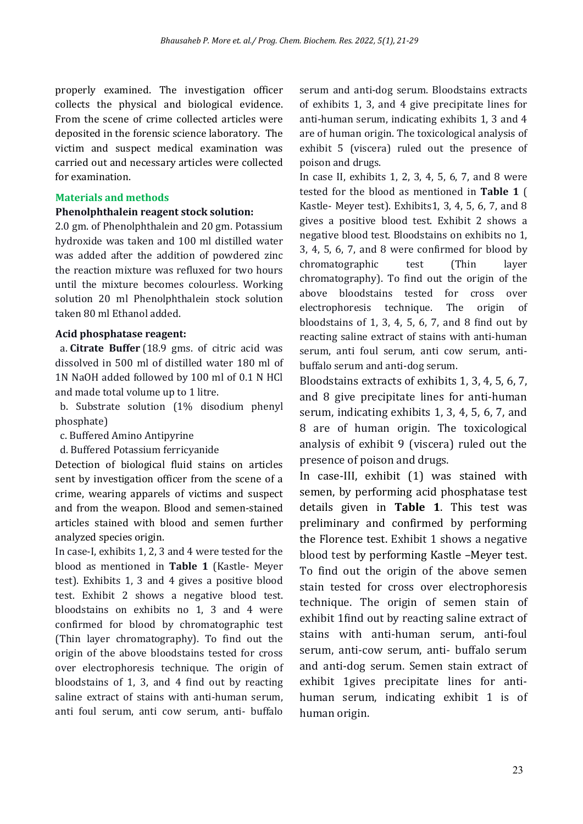properly examined. The investigation officer collects the physical and biological evidence. From the scene of crime collected articles were deposited in the forensic science laboratory. The victim and suspect medical examination was carried out and necessary articles were collected for examination.

## **Materials and methods**

## **Phenolphthalein reagent stock solution:**

2.0 gm. of Phenolphthalein and 20 gm. Potassium hydroxide was taken and 100 ml distilled water was added after the addition of powdered zinc the reaction mixture was refluxed for two hours until the mixture becomes colourless. Working solution 20 ml Phenolphthalein stock solution taken 80 ml Ethanol added.

## **Acid phosphatase reagent:**

 a. **Citrate Buffer** (18.9 gms. of citric acid was dissolved in 500 ml of distilled water 180 ml of 1N NaOH added followed by 100 ml of 0.1 N HCl and made total volume up to 1 litre.

 b. Substrate solution (1% disodium phenyl phosphate)

c. Buffered Amino Antipyrine

d. Buffered Potassium ferricyanide

Detection of biological fluid stains on articles sent by investigation officer from the scene of a crime, wearing apparels of victims and suspect and from the weapon. Blood and semen-stained articles stained with blood and semen further analyzed species origin.

In case-I, exhibits 1, 2, 3 and 4 were tested for the blood as mentioned in **Table 1** (Kastle- Meyer test). Exhibits 1, 3 and 4 gives a positive blood test. Exhibit 2 shows a negative blood test. bloodstains on exhibits no 1, 3 and 4 were confirmed for blood by chromatographic test (Thin layer chromatography). To find out the origin of the above bloodstains tested for cross over electrophoresis technique. The origin of bloodstains of 1, 3, and 4 ind out by reacting saline extract of stains with anti-human serum, anti foul serum, anti cow serum, anti- buffalo

serum and anti-dog serum. Bloodstains extracts of exhibits 1, 3, and 4 give precipitate lines for anti-human serum, indicating exhibits 1, 3 and 4 are of human origin. The toxicological analysis of exhibit 5 (viscera) ruled out the presence of poison and drugs.

In case II, exhibits 1, 2, 3, 4, 5, 6, 7, and 8 were tested for the blood as mentioned in **Table 1** ( Kastle- Meyer test). Exhibits1, 3, 4, 5, 6, 7, and 8 gives a positive blood test. Exhibit 2 shows a negative blood test. Bloodstains on exhibits no 1,  $3, 4, 5, 6, 7,$  and  $8$  were confirmed for blood by chromatographic test (Thin layer chromatography). To find out the origin of the above bloodstains tested for cross over electrophoresis technique. The origin of bloodstains of 1, 3, 4, 5, 6, 7, and 8 find out by reacting saline extract of stains with anti-human serum, anti foul serum, anti cow serum, antibuffalo serum and anti-dog serum.

Bloodstains extracts of exhibits 1, 3, 4, 5, 6, 7, and 8 give precipitate lines for anti-human serum, indicating exhibits 1, 3, 4, 5, 6, 7, and 8 are of human origin. The toxicological analysis of exhibit 9 (viscera) ruled out the presence of poison and drugs.

In case-III, exhibit (1) was stained with semen, by performing acid phosphatase test details given in **Table 1**. This test was preliminary and confirmed by performing the Florence test. Exhibit 1 shows a negative blood test by performing Kastle –Meyer test. To find out the origin of the above semen stain tested for cross over electrophoresis technique. The origin of semen stain of exhibit 1find out by reacting saline extract of stains with anti-human serum, anti-foul serum, anti-cow serum, anti- buffalo serum and anti-dog serum. Semen stain extract of exhibit 1gives precipitate lines for antihuman serum, indicating exhibit 1 is of human origin.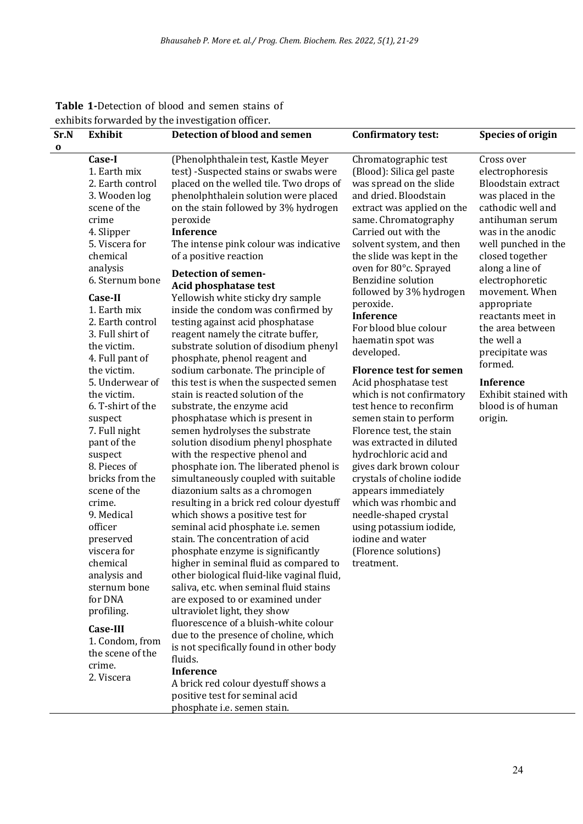| Sr.N     | <b>Exhibit</b>                                                                                                                                                                                                                                                                                                                                                                                                                                                                                                                                                                                                                                                            | <b>Detection of blood and semen</b>                                                                                                                                                                                                                                                                                                                                                                                                                                                                                                                                                                                                                                                                                                                                                                                                                                                                                                                                                                                                                                                                                                                                                                                                                                                                                                                                                                                                                                                                                                                                                                                                                                                        | <b>Confirmatory test:</b>                                                                                                                                                                                                                                                                                                                                                                                                                                                                                                                                                                                                                                                                                                                                                                                                                                                        | <b>Species of origin</b>                                                                                                                                                                                                                                                                                                                                                                                                |
|----------|---------------------------------------------------------------------------------------------------------------------------------------------------------------------------------------------------------------------------------------------------------------------------------------------------------------------------------------------------------------------------------------------------------------------------------------------------------------------------------------------------------------------------------------------------------------------------------------------------------------------------------------------------------------------------|--------------------------------------------------------------------------------------------------------------------------------------------------------------------------------------------------------------------------------------------------------------------------------------------------------------------------------------------------------------------------------------------------------------------------------------------------------------------------------------------------------------------------------------------------------------------------------------------------------------------------------------------------------------------------------------------------------------------------------------------------------------------------------------------------------------------------------------------------------------------------------------------------------------------------------------------------------------------------------------------------------------------------------------------------------------------------------------------------------------------------------------------------------------------------------------------------------------------------------------------------------------------------------------------------------------------------------------------------------------------------------------------------------------------------------------------------------------------------------------------------------------------------------------------------------------------------------------------------------------------------------------------------------------------------------------------|----------------------------------------------------------------------------------------------------------------------------------------------------------------------------------------------------------------------------------------------------------------------------------------------------------------------------------------------------------------------------------------------------------------------------------------------------------------------------------------------------------------------------------------------------------------------------------------------------------------------------------------------------------------------------------------------------------------------------------------------------------------------------------------------------------------------------------------------------------------------------------|-------------------------------------------------------------------------------------------------------------------------------------------------------------------------------------------------------------------------------------------------------------------------------------------------------------------------------------------------------------------------------------------------------------------------|
| $\bf{0}$ |                                                                                                                                                                                                                                                                                                                                                                                                                                                                                                                                                                                                                                                                           |                                                                                                                                                                                                                                                                                                                                                                                                                                                                                                                                                                                                                                                                                                                                                                                                                                                                                                                                                                                                                                                                                                                                                                                                                                                                                                                                                                                                                                                                                                                                                                                                                                                                                            |                                                                                                                                                                                                                                                                                                                                                                                                                                                                                                                                                                                                                                                                                                                                                                                                                                                                                  |                                                                                                                                                                                                                                                                                                                                                                                                                         |
|          | Case-I<br>1. Earth mix<br>2. Earth control<br>3. Wooden log<br>scene of the<br>crime<br>4. Slipper<br>5. Viscera for<br>chemical<br>analysis<br>6. Sternum bone<br>Case-II<br>1. Earth mix<br>2. Earth control<br>3. Full shirt of<br>the victim.<br>4. Full pant of<br>the victim.<br>5. Underwear of<br>the victim.<br>6. T-shirt of the<br>suspect<br>7. Full night<br>pant of the<br>suspect<br>8. Pieces of<br>bricks from the<br>scene of the<br>crime.<br>9. Medical<br>officer<br>preserved<br>viscera for<br>chemical<br>analysis and<br>sternum bone<br>for DNA<br>profiling.<br><b>Case-III</b><br>1. Condom, from<br>the scene of the<br>crime.<br>2. Viscera | (Phenolphthalein test, Kastle Meyer<br>test) -Suspected stains or swabs were<br>placed on the welled tile. Two drops of<br>phenolphthalein solution were placed<br>on the stain followed by 3% hydrogen<br>peroxide<br><b>Inference</b><br>The intense pink colour was indicative<br>of a positive reaction<br><b>Detection of semen-</b><br>Acid phosphatase test<br>Yellowish white sticky dry sample<br>inside the condom was confirmed by<br>testing against acid phosphatase<br>reagent namely the citrate buffer,<br>substrate solution of disodium phenyl<br>phosphate, phenol reagent and<br>sodium carbonate. The principle of<br>this test is when the suspected semen<br>stain is reacted solution of the<br>substrate, the enzyme acid<br>phosphatase which is present in<br>semen hydrolyses the substrate<br>solution disodium phenyl phosphate<br>with the respective phenol and<br>phosphate ion. The liberated phenol is<br>simultaneously coupled with suitable<br>diazonium salts as a chromogen<br>resulting in a brick red colour dyestuff<br>which shows a positive test for<br>seminal acid phosphate i.e. semen<br>stain. The concentration of acid<br>phosphate enzyme is significantly<br>higher in seminal fluid as compared to<br>other biological fluid-like vaginal fluid,<br>saliva, etc. when seminal fluid stains<br>are exposed to or examined under<br>ultraviolet light, they show<br>fluorescence of a bluish-white colour<br>due to the presence of choline, which<br>is not specifically found in other body<br>fluids.<br><b>Inference</b><br>A brick red colour dyestuff shows a<br>positive test for seminal acid<br>phosphate i.e. semen stain. | Chromatographic test<br>(Blood): Silica gel paste<br>was spread on the slide<br>and dried. Bloodstain<br>extract was applied on the<br>same. Chromatography<br>Carried out with the<br>solvent system, and then<br>the slide was kept in the<br>oven for 80°c. Sprayed<br><b>Benzidine solution</b><br>followed by 3% hydrogen<br>peroxide.<br><b>Inference</b><br>For blood blue colour<br>haematin spot was<br>developed.<br><b>Florence test for semen</b><br>Acid phosphatase test<br>which is not confirmatory<br>test hence to reconfirm<br>semen stain to perform<br>Florence test, the stain<br>was extracted in diluted<br>hydrochloric acid and<br>gives dark brown colour<br>crystals of choline iodide<br>appears immediately<br>which was rhombic and<br>needle-shaped crystal<br>using potassium iodide,<br>iodine and water<br>(Florence solutions)<br>treatment. | Cross over<br>electrophoresis<br>Bloodstain extract<br>was placed in the<br>cathodic well and<br>antihuman serum<br>was in the anodic<br>well punched in the<br>closed together<br>along a line of<br>electrophoretic<br>movement. When<br>appropriate<br>reactants meet in<br>the area between<br>the well a<br>precipitate was<br>formed.<br><b>Inference</b><br>Exhibit stained with<br>blood is of human<br>origin. |

## **Table 1-**Detection of blood and semen stains of exhibits forwarded by the investigation officer.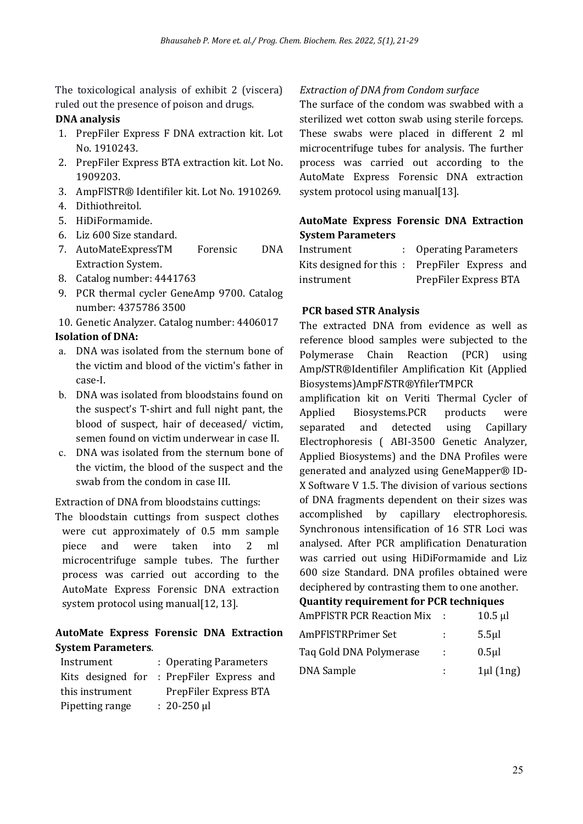The toxicological analysis of exhibit 2 (viscera) ruled out the presence of poison and drugs.

## **DNA analysis**

- 1. PrepFiler Express F DNA extraction kit. Lot No. 1910243.
- 2. PrepFiler Express BTA extraction kit. Lot No. 1909203.
- 3. AmpFlSTR® Identifiler kit. Lot No. 1910269.
- 4. Dithiothreitol.
- 5. HiDiFormamide.
- 6. Liz 600 Size standard.
- 7. AutoMateExpressTM Forensic DNA Extraction System.
- 8. Catalog number: 4441763
- 9. PCR thermal cycler GeneAmp 9700. Catalog number: 4375786 3500

10. Genetic Analyzer. Catalog number: 4406017 **Isolation of DNA:**

- a. DNA was isolated from the sternum bone of the victim and blood of the victim's father in case-I.
- b. DNA was isolated from bloodstains found on the suspect's T-shirt and full night pant, the blood of suspect, hair of deceased/ victim, semen found on victim underwear in case II.
- c. DNA was isolated from the sternum bone of the victim, the blood of the suspect and the swab from the condom in case III.

Extraction of DNA from bloodstains cuttings:

The bloodstain cuttings from suspect clothes were cut approximately of 0.5 mm sample piece and were taken into 2 ml microcentrifuge sample tubes. The further process was carried out according to the AutoMate Express Forensic DNA extraction system protocol using manual[12, 13].

## **AutoMate Express Forensic DNA Extraction System Parameters**.

| Instrument        |  | : Operating Parameters  |  |
|-------------------|--|-------------------------|--|
| Kits designed for |  | : PrepFiler Express and |  |
| this instrument   |  | PrepFiler Express BTA   |  |
| Pipetting range   |  | $: 20-250 \mu l$        |  |

## *Extraction of DNA from Condom surface*

The surface of the condom was swabbed with a sterilized wet cotton swab using sterile forceps. These swabs were placed in different 2 ml microcentrifuge tubes for analysis. The further process was carried out according to the AutoMate Express Forensic DNA extraction system protocol using manual[13].

## **AutoMate Express Forensic DNA Extraction System Parameters**

| Instrument | : Operating Parameters                        |
|------------|-----------------------------------------------|
|            | Kits designed for this: PrepFiler Express and |
| instrument | PrepFiler Express BTA                         |

## **PCR based STR Analysis**

The extracted DNA from evidence as well as reference blood samples were subjected to the Polymerase Chain Reaction (PCR) using Amp*l*STR®Identifiler Amplification Kit (Applied Biosystems)AmpF*l*STR®YfilerTMPCR

amplification kit on Veriti Thermal Cycler of Applied Biosystems.PCR products were separated and detected using Capillary Electrophoresis ( ABI-3500 Genetic Analyzer, Applied Biosystems) and the DNA Profiles were generated and analyzed using GeneMapper® ID-X Software V 1.5. The division of various sections of DNA fragments dependent on their sizes was accomplished by capillary electrophoresis. Synchronous intensification of 16 STR Loci was analysed. After PCR amplification Denaturation was carried out using HiDiFormamide and Liz 600 size Standard. DNA profiles obtained were deciphered by contrasting them to one another.

## **Quantity requirement for PCR techniques**

| <b>AmPFISTR PCR Reaction Mix</b> |            | $10.5$ µl    |
|----------------------------------|------------|--------------|
| AmPFISTRPrimer Set               |            | $5.5$ µl     |
| Tag Gold DNA Polymerase          | <b>COL</b> | $0.5$ µl     |
| <b>DNA</b> Sample                |            | $1\mu$ (1ng) |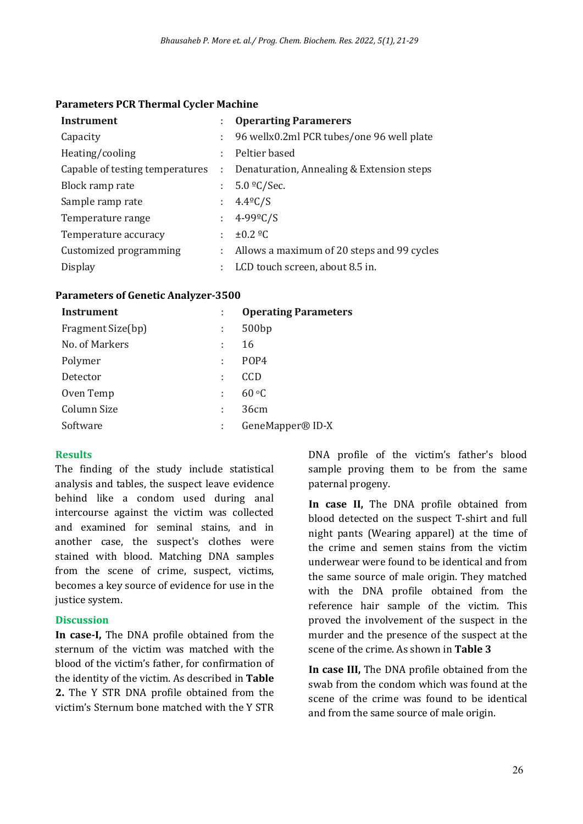#### **Parameters PCR Thermal Cycler Machine**

| <b>Instrument</b>               |               | <b>Operarting Paramerers</b>               |
|---------------------------------|---------------|--------------------------------------------|
| Capacity                        | t.            | 96 wellx0.2ml PCR tubes/one 96 well plate  |
| Heating/cooling                 | t.            | Peltier based                              |
| Capable of testing temperatures | $\mathcal{L}$ | Denaturation, Annealing & Extension steps  |
| Block ramp rate                 | t.            | $5.0 \frac{\circ}{\ }$ C/Sec.              |
| Sample ramp rate                |               | $: 4.4^{\circ}C/S$                         |
| Temperature range               |               | : $4 - 99^{\circ}C/S$                      |
| Temperature accuracy            | ÷             | $\pm 0.2$ ºC                               |
| Customized programming          | t.            | Allows a maximum of 20 steps and 99 cycles |
| <b>Display</b>                  | ÷             | LCD touch screen, about 8.5 in.            |

#### **Parameters of Genetic Analyzer-3500**

| Instrument        |   | <b>Operating Parameters</b> |
|-------------------|---|-----------------------------|
| Fragment Size(bp) | ÷ | 500 <sub>bp</sub>           |
| No. of Markers    | ÷ | 16                          |
| Polymer           | ÷ | POP <sub>4</sub>            |
| Detector          | ÷ | CCD                         |
| Oven Temp         | ÷ | $60 \text{ }^{\circ}C$      |
| Column Size       | ÷ | 36cm                        |
| Software          |   | GeneMapper® ID-X            |

## **Results**

The finding of the study include statistical analysis and tables, the suspect leave evidence behind like a condom used during anal intercourse against the victim was collected and examined for seminal stains, and in another case, the suspect's clothes were stained with blood. Matching DNA samples from the scene of crime, suspect, victims, becomes a key source of evidence for use in the justice system.

## **Discussion**

**In case-I,** The DNA profile obtained from the sternum of the victim was matched with the blood of the victim's father, for confirmation of the identity of the victim. As described in **Table 2.** The Y STR DNA profile obtained from the victim's Sternum bone matched with the Y STR

DNA profile of the victim's father's blood sample proving them to be from the same paternal progeny.

**In case II,** The DNA profile obtained from blood detected on the suspect T-shirt and full night pants (Wearing apparel) at the time of the crime and semen stains from the victim underwear were found to be identical and from the same source of male origin. They matched with the DNA profile obtained from the reference hair sample of the victim. This proved the involvement of the suspect in the murder and the presence of the suspect at the scene of the crime. As shown in **Table 3**

**In case III,** The DNA profile obtained from the swab from the condom which was found at the scene of the crime was found to be identical and from the same source of male origin.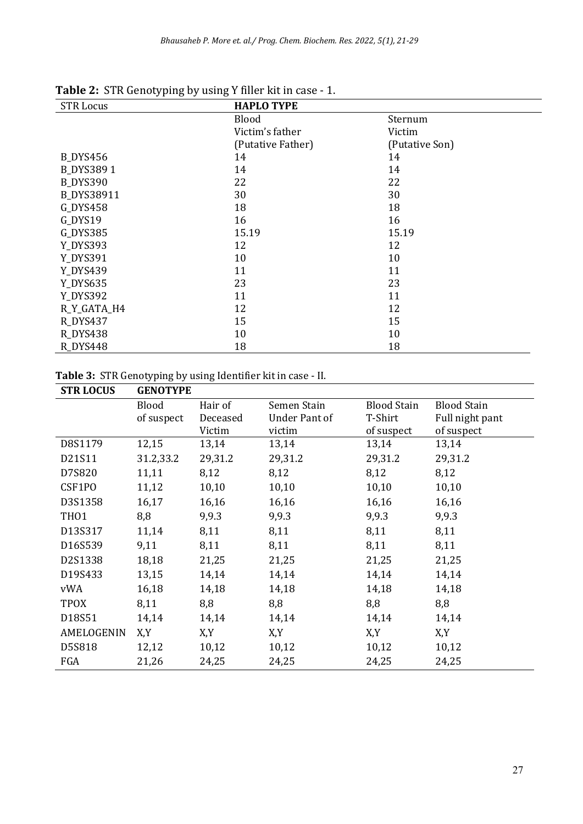| <b>STR Locus</b> | <b>HAPLO TYPE</b> |                |  |
|------------------|-------------------|----------------|--|
|                  | <b>Blood</b>      | Sternum        |  |
|                  | Victim's father   | Victim         |  |
|                  | (Putative Father) | (Putative Son) |  |
| <b>B_DYS456</b>  | 14                | 14             |  |
| <b>B_DYS3891</b> | 14                | 14             |  |
| <b>B_DYS390</b>  | 22                | 22             |  |
| B_DYS38911       | 30                | 30             |  |
| G_DYS458         | 18                | 18             |  |
| G_DYS19          | 16                | 16             |  |
| G_DYS385         | 15.19             | 15.19          |  |
| Y_DYS393         | 12                | 12             |  |
| Y_DYS391         | 10                | 10             |  |
| Y_DYS439         | 11                | 11             |  |
| Y_DYS635         | 23                | 23             |  |
| Y_DYS392         | 11                | 11             |  |
| R_Y_GATA_H4      | 12                | 12             |  |
| R_DYS437         | 15                | 15             |  |
| R_DYS438         | 10                | 10             |  |
| R_DYS448         | 18                | 18             |  |

**Table 2:** STR Genotyping by using Y filler kit in case - 1.

|  |  | Table 3: STR Genotyping by using Identifier kit in case - II. |  |  |  |  |  |  |
|--|--|---------------------------------------------------------------|--|--|--|--|--|--|
|--|--|---------------------------------------------------------------|--|--|--|--|--|--|

| <b>STR LOCUS</b> | <b>GENOTYPE</b> |          |                      |                    |                    |  |
|------------------|-----------------|----------|----------------------|--------------------|--------------------|--|
|                  | Blood           | Hair of  | Semen Stain          | <b>Blood Stain</b> | <b>Blood Stain</b> |  |
|                  | of suspect      | Deceased | <b>Under Pant of</b> | T-Shirt            | Full night pant    |  |
|                  |                 | Victim   | victim               | of suspect         | of suspect         |  |
| D8S1179          | 12,15           | 13,14    | 13,14                | 13,14              | 13,14              |  |
| D21S11           | 31.2,33.2       | 29,31.2  | 29,31.2              | 29,31.2            | 29,31.2            |  |
| D7S820           | 11,11           | 8,12     | 8,12                 | 8,12               | 8,12               |  |
| CSF1PO           | 11,12           | 10,10    | 10,10                | 10,10              | 10,10              |  |
| D3S1358          | 16,17           | 16,16    | 16,16                | 16,16              | 16,16              |  |
| TH <sub>01</sub> | 8,8             | 9,9.3    | 9,9.3                | 9,9.3              | 9,9.3              |  |
| D13S317          | 11,14           | 8,11     | 8,11                 | 8,11               | 8,11               |  |
| D16S539          | 9,11            | 8,11     | 8,11                 | 8,11               | 8,11               |  |
| D2S1338          | 18,18           | 21,25    | 21,25                | 21,25              | 21,25              |  |
| D19S433          | 13,15           | 14,14    | 14,14                | 14,14              | 14,14              |  |
| vWA              | 16,18           | 14,18    | 14,18                | 14,18              | 14,18              |  |
| <b>TPOX</b>      | 8,11            | 8,8      | 8,8                  | 8,8                | 8,8                |  |
| D18S51           | 14,14           | 14,14    | 14,14                | 14,14              | 14,14              |  |
| AMELOGENIN       | X,Y             | X,Y      | X,Y                  | X,Y                | X,Y                |  |
| D5S818           | 12,12           | 10,12    | 10,12                | 10,12              | 10,12              |  |
| FGA              | 21,26           | 24,25    | 24,25                | 24,25              | 24,25              |  |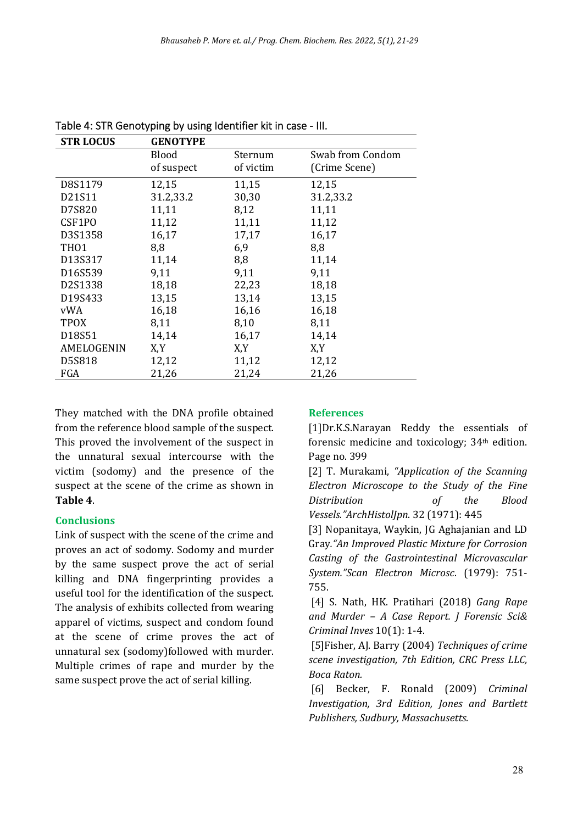| <b>STR LOCUS</b> | <b>GENOTYPE</b> |           |                  |
|------------------|-----------------|-----------|------------------|
|                  | <b>Blood</b>    | Sternum   | Swab from Condom |
|                  | of suspect      | of victim | (Crime Scene)    |
| D8S1179          | 12,15           | 11,15     | 12,15            |
| D21S11           | 31.2,33.2       | 30,30     | 31.2,33.2        |
| D7S820           | 11,11           | 8,12      | 11,11            |
| CSF1PO           | 11,12           | 11,11     | 11,12            |
| D3S1358          | 16,17           | 17,17     | 16,17            |
| TH <sub>01</sub> | 8,8             | 6,9       | 8,8              |
| D13S317          | 11,14           | 8,8       | 11,14            |
| D16S539          | 9,11            | 9,11      | 9,11             |
| D2S1338          | 18,18           | 22,23     | 18,18            |
| D19S433          | 13,15           | 13,14     | 13,15            |
| vWA              | 16,18           | 16,16     | 16,18            |
| <b>TPOX</b>      | 8,11            | 8,10      | 8,11             |
| D18S51           | 14,14           | 16,17     | 14,14            |
| AMELOGENIN       | X,Y             | X,Y       | X,Y              |
| D5S818           | 12,12           | 11,12     | 12,12            |
| FGA              | 21,26           | 21,24     | 21,26            |

Table 4: STR Genotyping by using Identifier kit in case - III.

They matched with the DNA profile obtained from the reference blood sample of the suspect. This proved the involvement of the suspect in the unnatural sexual intercourse with the victim (sodomy) and the presence of the suspect at the scene of the crime as shown in **Table 4**.

## **Conclusions**

Link of suspect with the scene of the crime and proves an act of sodomy. Sodomy and murder by the same suspect prove the act of serial killing and DNA fingerprinting provides a useful tool for the identification of the suspect. The analysis of exhibits collected from wearing apparel of victims, suspect and condom found at the scene of crime proves the act of unnatural sex (sodomy)followed with murder. Multiple crimes of rape and murder by the same suspect prove the act of serial killing.

## **References**

[1]Dr.K.S.Narayan Reddy the essentials of forensic medicine and toxicology; 34th edition. Page no. 399

[2] T. Murakami, *"Application of the Scanning Electron Microscope to the Study of the Fine Distribution of the Blood Vessels."ArchHistolJpn*. 32 (1971): 445

[3] Nopanitaya, Waykin, JG Aghajanian and LD Gray*."An Improved Plastic Mixture for Corrosion Casting of the Gastrointestinal Microvascular System."Scan Electron Microsc*. (1979): 751- 755.

[4] S. Nath, HK. Pratihari (2018) *Gang Rape and Murder – A Case Report. J Forensic Sci& Criminal Inves* 10(1): 1-4.

[5]Fisher, AJ. Barry (2004) *Techniques of crime scene investigation, 7th Edition, CRC Press LLC, Boca Raton.*

[6] Becker, F. Ronald (2009) *Criminal Investigation, 3rd Edition, Jones and Bartlett Publishers, Sudbury, Massachusetts.*